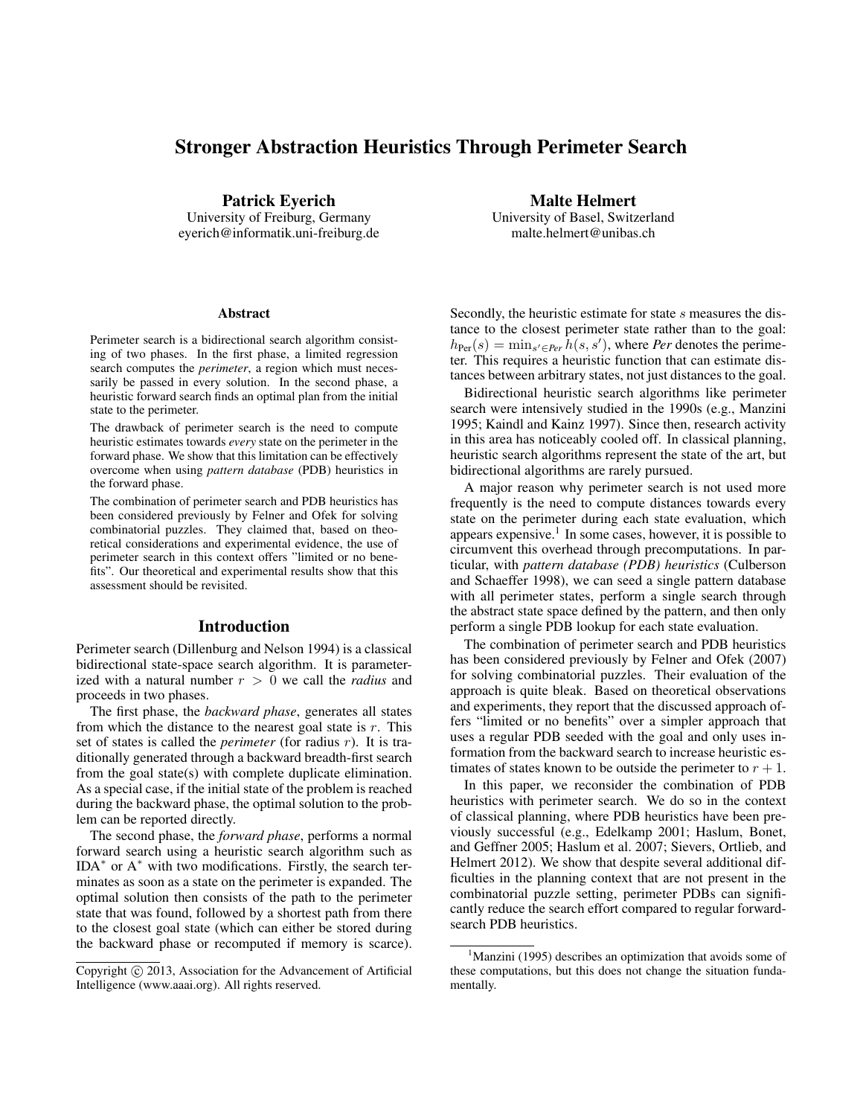# Stronger Abstraction Heuristics Through Perimeter Search

Patrick Eyerich University of Freiburg, Germany eyerich@informatik.uni-freiburg.de

#### Abstract

Perimeter search is a bidirectional search algorithm consisting of two phases. In the first phase, a limited regression search computes the *perimeter*, a region which must necessarily be passed in every solution. In the second phase, a heuristic forward search finds an optimal plan from the initial state to the perimeter.

The drawback of perimeter search is the need to compute heuristic estimates towards *every* state on the perimeter in the forward phase. We show that this limitation can be effectively overcome when using *pattern database* (PDB) heuristics in the forward phase.

The combination of perimeter search and PDB heuristics has been considered previously by Felner and Ofek for solving combinatorial puzzles. They claimed that, based on theoretical considerations and experimental evidence, the use of perimeter search in this context offers "limited or no benefits". Our theoretical and experimental results show that this assessment should be revisited.

## Introduction

Perimeter search (Dillenburg and Nelson 1994) is a classical bidirectional state-space search algorithm. It is parameterized with a natural number r > 0 we call the *radius* and proceeds in two phases.

The first phase, the *backward phase*, generates all states from which the distance to the nearest goal state is  $r$ . This set of states is called the *perimeter* (for radius r). It is traditionally generated through a backward breadth-first search from the goal state(s) with complete duplicate elimination. As a special case, if the initial state of the problem is reached during the backward phase, the optimal solution to the problem can be reported directly.

The second phase, the *forward phase*, performs a normal forward search using a heuristic search algorithm such as IDA<sup>∗</sup> or A<sup>∗</sup> with two modifications. Firstly, the search terminates as soon as a state on the perimeter is expanded. The optimal solution then consists of the path to the perimeter state that was found, followed by a shortest path from there to the closest goal state (which can either be stored during the backward phase or recomputed if memory is scarce).

Malte Helmert University of Basel, Switzerland malte.helmert@unibas.ch

Secondly, the heuristic estimate for state s measures the distance to the closest perimeter state rather than to the goal:  $h_{\text{Per}}(s) = \min_{s' \in \text{Per}} \hat{h}(s, s')$ , where *Per* denotes the perimeter. This requires a heuristic function that can estimate distances between arbitrary states, not just distances to the goal.

Bidirectional heuristic search algorithms like perimeter search were intensively studied in the 1990s (e.g., Manzini 1995; Kaindl and Kainz 1997). Since then, research activity in this area has noticeably cooled off. In classical planning, heuristic search algorithms represent the state of the art, but bidirectional algorithms are rarely pursued.

A major reason why perimeter search is not used more frequently is the need to compute distances towards every state on the perimeter during each state evaluation, which appears expensive.<sup>1</sup> In some cases, however, it is possible to circumvent this overhead through precomputations. In particular, with *pattern database (PDB) heuristics* (Culberson and Schaeffer 1998), we can seed a single pattern database with all perimeter states, perform a single search through the abstract state space defined by the pattern, and then only perform a single PDB lookup for each state evaluation.

The combination of perimeter search and PDB heuristics has been considered previously by Felner and Ofek (2007) for solving combinatorial puzzles. Their evaluation of the approach is quite bleak. Based on theoretical observations and experiments, they report that the discussed approach offers "limited or no benefits" over a simpler approach that uses a regular PDB seeded with the goal and only uses information from the backward search to increase heuristic estimates of states known to be outside the perimeter to  $r + 1$ .

In this paper, we reconsider the combination of PDB heuristics with perimeter search. We do so in the context of classical planning, where PDB heuristics have been previously successful (e.g., Edelkamp 2001; Haslum, Bonet, and Geffner 2005; Haslum et al. 2007; Sievers, Ortlieb, and Helmert 2012). We show that despite several additional difficulties in the planning context that are not present in the combinatorial puzzle setting, perimeter PDBs can significantly reduce the search effort compared to regular forwardsearch PDB heuristics.

Copyright © 2013, Association for the Advancement of Artificial Intelligence (www.aaai.org). All rights reserved.

<sup>&</sup>lt;sup>1</sup>Manzini (1995) describes an optimization that avoids some of these computations, but this does not change the situation fundamentally.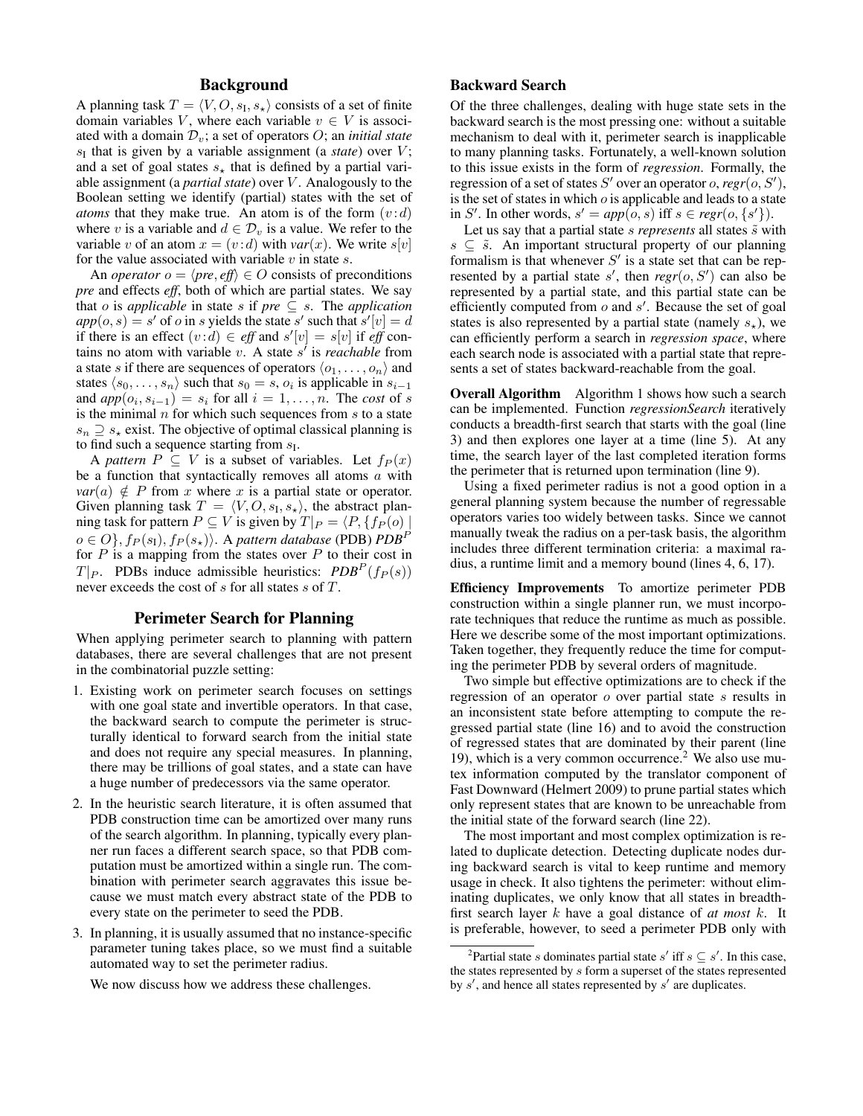## Background

A planning task  $T = \langle V, O, s_{\text{I}}, s_{\star} \rangle$  consists of a set of finite domain variables V, where each variable  $v \in V$  is associated with a domain  $\mathcal{D}_v$ ; a set of operators  $O$ ; an *initial state*  $s<sub>I</sub>$  that is given by a variable assignment (a *state*) over  $V$ ; and a set of goal states  $s_{\star}$  that is defined by a partial variable assignment (a *partial state*) over V . Analogously to the Boolean setting we identify (partial) states with the set of *atoms* that they make true. An atom is of the form  $(v:d)$ where v is a variable and  $d \in \mathcal{D}_v$  is a value. We refer to the variable v of an atom  $x = (v : d)$  with  $var(x)$ . We write  $s[v]$ for the value associated with variable  $v$  in state  $s$ .

An *operator*  $o = \langle pre, eff \rangle \in O$  consists of preconditions *pre* and effects *eff*, both of which are partial states. We say that *o* is *applicable* in state *s* if *pre*  $\subseteq$  *s*. The *application*  $app(o, s) = s'$  of *o* in *s* yields the state s' such that  $s'[v] = d$ if there is an effect  $(v:d) \in \text{eff}$  and  $s'[v] = s[v]$  if  $\text{eff}$  contains no atom with variable  $v$ . A state  $s'$  is *reachable* from a state s if there are sequences of operators  $\langle o_1, \ldots, o_n \rangle$  and states  $\langle s_0, \ldots, s_n \rangle$  such that  $s_0 = s$ ,  $o_i$  is applicable in  $s_{i-1}$ and  $app(o_i, s_{i-1}) = s_i$  for all  $i = 1, \ldots, n$ . The *cost* of s is the minimal  $n$  for which such sequences from  $s$  to a state  $s_n \supseteq s_*$  exist. The objective of optimal classical planning is to find such a sequence starting from  $s_I$ .

A *pattern*  $P \subseteq V$  is a subset of variables. Let  $f_P(x)$ be a function that syntactically removes all atoms  $a$  with  $var(a) \notin P$  from x where x is a partial state or operator. Given planning task  $T = \langle V, O, s_I, s_\star \rangle$ , the abstract planning task for pattern  $P \subseteq V$  is given by  $T|_{P} = \langle P, \{fp (o) |$  $o \in O$ ,  $f_P(s_I)$ ,  $f_P(s_\star)$ . A *pattern database* (PDB) *PDB*<sup>*P*</sup> for  $P$  is a mapping from the states over  $P$  to their cost in  $T|_P$ . PDBs induce admissible heuristics:  $PDB^P(f_P(s))$ never exceeds the cost of s for all states s of T.

### Perimeter Search for Planning

When applying perimeter search to planning with pattern databases, there are several challenges that are not present in the combinatorial puzzle setting:

- 1. Existing work on perimeter search focuses on settings with one goal state and invertible operators. In that case, the backward search to compute the perimeter is structurally identical to forward search from the initial state and does not require any special measures. In planning, there may be trillions of goal states, and a state can have a huge number of predecessors via the same operator.
- 2. In the heuristic search literature, it is often assumed that PDB construction time can be amortized over many runs of the search algorithm. In planning, typically every planner run faces a different search space, so that PDB computation must be amortized within a single run. The combination with perimeter search aggravates this issue because we must match every abstract state of the PDB to every state on the perimeter to seed the PDB.
- 3. In planning, it is usually assumed that no instance-specific parameter tuning takes place, so we must find a suitable automated way to set the perimeter radius.

We now discuss how we address these challenges.

## Backward Search

Of the three challenges, dealing with huge state sets in the backward search is the most pressing one: without a suitable mechanism to deal with it, perimeter search is inapplicable to many planning tasks. Fortunately, a well-known solution to this issue exists in the form of *regression*. Formally, the regression of a set of states  $S'$  over an operator o,  $regr(o, S'),$ is the set of states in which  $o$  is applicable and leads to a state in S'. In other words,  $s' = app(o, s)$  iff  $s \in regr(o, \{s'\})$ .

Let us say that a partial state  $s$  *represents* all states  $\tilde{s}$  with  $s \subseteq \tilde{s}$ . An important structural property of our planning formalism is that whenever  $S'$  is a state set that can be represented by a partial state  $s'$ , then  $regr(o, S')$  can also be represented by a partial state, and this partial state can be efficiently computed from  $o$  and  $s'$ . Because the set of goal states is also represented by a partial state (namely  $s_{\star}$ ), we can efficiently perform a search in *regression space*, where each search node is associated with a partial state that represents a set of states backward-reachable from the goal.

Overall Algorithm Algorithm 1 shows how such a search can be implemented. Function *regressionSearch* iteratively conducts a breadth-first search that starts with the goal (line 3) and then explores one layer at a time (line 5). At any time, the search layer of the last completed iteration forms the perimeter that is returned upon termination (line 9).

Using a fixed perimeter radius is not a good option in a general planning system because the number of regressable operators varies too widely between tasks. Since we cannot manually tweak the radius on a per-task basis, the algorithm includes three different termination criteria: a maximal radius, a runtime limit and a memory bound (lines 4, 6, 17).

Efficiency Improvements To amortize perimeter PDB construction within a single planner run, we must incorporate techniques that reduce the runtime as much as possible. Here we describe some of the most important optimizations. Taken together, they frequently reduce the time for computing the perimeter PDB by several orders of magnitude.

Two simple but effective optimizations are to check if the regression of an operator  $o$  over partial state  $s$  results in an inconsistent state before attempting to compute the regressed partial state (line 16) and to avoid the construction of regressed states that are dominated by their parent (line 19), which is a very common occurrence.<sup>2</sup> We also use mutex information computed by the translator component of Fast Downward (Helmert 2009) to prune partial states which only represent states that are known to be unreachable from the initial state of the forward search (line 22).

The most important and most complex optimization is related to duplicate detection. Detecting duplicate nodes during backward search is vital to keep runtime and memory usage in check. It also tightens the perimeter: without eliminating duplicates, we only know that all states in breadthfirst search layer k have a goal distance of *at most* k. It is preferable, however, to seed a perimeter PDB only with

<sup>&</sup>lt;sup>2</sup>Partial state *s* dominates partial state *s'* iff  $s \subseteq s'$ . In this case, the states represented by s form a superset of the states represented by  $s'$ , and hence all states represented by  $s'$  are duplicates.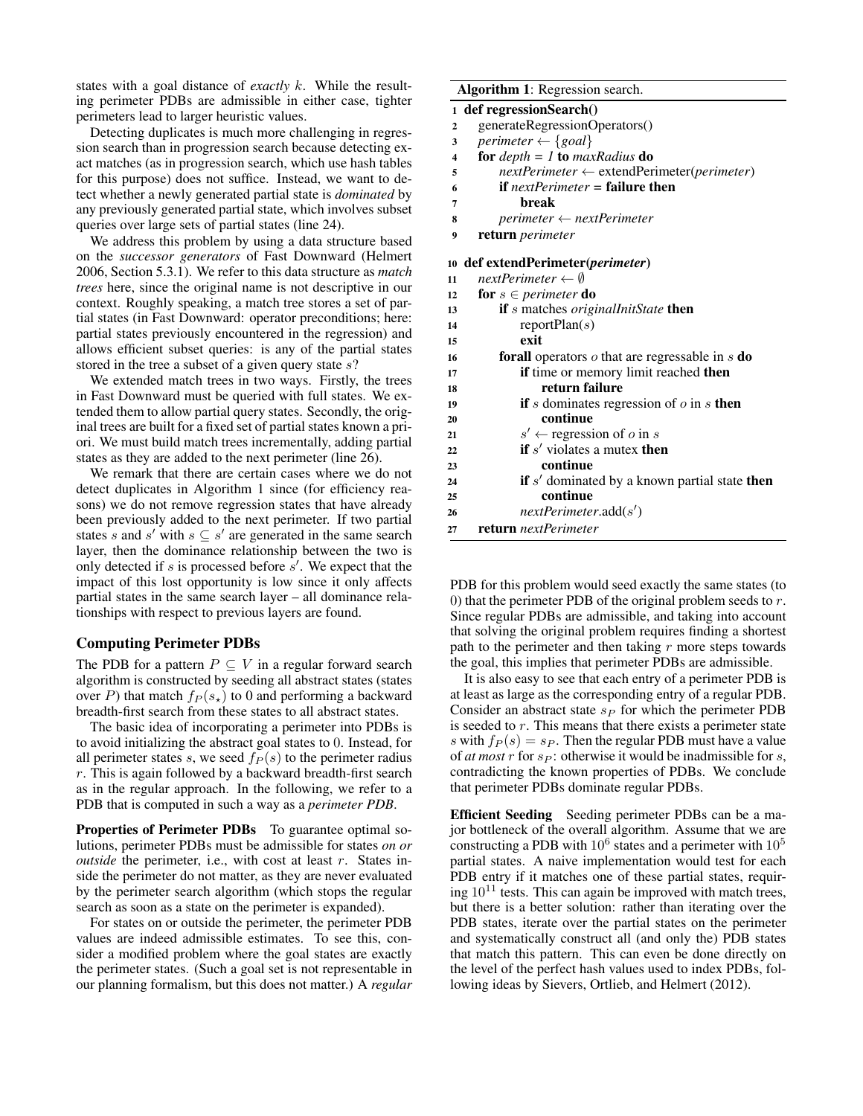states with a goal distance of *exactly* k. While the resulting perimeter PDBs are admissible in either case, tighter perimeters lead to larger heuristic values.

Detecting duplicates is much more challenging in regression search than in progression search because detecting exact matches (as in progression search, which use hash tables for this purpose) does not suffice. Instead, we want to detect whether a newly generated partial state is *dominated* by any previously generated partial state, which involves subset queries over large sets of partial states (line 24).

We address this problem by using a data structure based on the *successor generators* of Fast Downward (Helmert 2006, Section 5.3.1). We refer to this data structure as *match trees* here, since the original name is not descriptive in our context. Roughly speaking, a match tree stores a set of partial states (in Fast Downward: operator preconditions; here: partial states previously encountered in the regression) and allows efficient subset queries: is any of the partial states stored in the tree a subset of a given query state  $s$ ?

We extended match trees in two ways. Firstly, the trees in Fast Downward must be queried with full states. We extended them to allow partial query states. Secondly, the original trees are built for a fixed set of partial states known a priori. We must build match trees incrementally, adding partial states as they are added to the next perimeter (line 26).

We remark that there are certain cases where we do not detect duplicates in Algorithm 1 since (for efficiency reasons) we do not remove regression states that have already been previously added to the next perimeter. If two partial states s and s' with  $s \subseteq s'$  are generated in the same search layer, then the dominance relationship between the two is only detected if s is processed before  $s'$ . We expect that the impact of this lost opportunity is low since it only affects partial states in the same search layer – all dominance relationships with respect to previous layers are found.

## Computing Perimeter PDBs

The PDB for a pattern  $P \subseteq V$  in a regular forward search algorithm is constructed by seeding all abstract states (states over P) that match  $f_P(s_*)$  to 0 and performing a backward breadth-first search from these states to all abstract states.

The basic idea of incorporating a perimeter into PDBs is to avoid initializing the abstract goal states to 0. Instead, for all perimeter states s, we seed  $f_P(s)$  to the perimeter radius  $r$ . This is again followed by a backward breadth-first search as in the regular approach. In the following, we refer to a PDB that is computed in such a way as a *perimeter PDB*.

Properties of Perimeter PDBs To guarantee optimal solutions, perimeter PDBs must be admissible for states *on or outside* the perimeter, i.e., with cost at least r. States inside the perimeter do not matter, as they are never evaluated by the perimeter search algorithm (which stops the regular search as soon as a state on the perimeter is expanded).

For states on or outside the perimeter, the perimeter PDB values are indeed admissible estimates. To see this, consider a modified problem where the goal states are exactly the perimeter states. (Such a goal set is not representable in our planning formalism, but this does not matter.) A *regular*

#### Algorithm 1: Regression search.

#### 1 def regressionSearch()

- 2 generateRegressionOperators()
- 3 *perimeter*  $\leftarrow$  {*goal*}
- <sup>4</sup> for *depth = 1* to *maxRadius* do
- <sup>5</sup> *nextPerimeter* ← extendPerimeter(*perimeter*)
- <sup>6</sup> if *nextPerimeter =* failure then
- 7 break
- <sup>8</sup> *perimeter* ← *nextPerimeter*
- <sup>9</sup> return *perimeter*

## <sup>10</sup> def extendPerimeter(*perimeter*)

| 11 | nextPerimeter $\leftarrow \emptyset$                          |
|----|---------------------------------------------------------------|
| 12 | <b>for</b> $s \in perimeter$ <b>do</b>                        |
| 13 | <b>if</b> s matches <i>originalInitState</i> <b>then</b>      |
| 14 | reportPlan(s)                                                 |
| 15 | exit                                                          |
| 16 | <b>forall</b> operators o that are regressable in s <b>do</b> |
| 17 | <b>if</b> time or memory limit reached <b>then</b>            |
| 18 | return failure                                                |
| 19 | if s dominates regression of $\sigma$ in s then               |
| 20 | continue                                                      |
| 21 | $s' \leftarrow$ regression of o in s                          |
| 22 | if $s'$ violates a mutex then                                 |
| 23 | continue                                                      |
| 24 | <b>if</b> s' dominated by a known partial state <b>then</b>   |
| 25 | continue                                                      |
| 26 | nextPerimeter.add(s')                                         |
| 27 | return nextPerimeter                                          |
|    |                                                               |

PDB for this problem would seed exactly the same states (to 0) that the perimeter PDB of the original problem seeds to  $r$ . Since regular PDBs are admissible, and taking into account that solving the original problem requires finding a shortest path to the perimeter and then taking  $r$  more steps towards the goal, this implies that perimeter PDBs are admissible.

It is also easy to see that each entry of a perimeter PDB is at least as large as the corresponding entry of a regular PDB. Consider an abstract state  $s_P$  for which the perimeter PDB is seeded to r. This means that there exists a perimeter state s with  $f_P(s) = s_P$ . Then the regular PDB must have a value of *at most*  $r$  for  $s_P$ : otherwise it would be inadmissible for  $s$ , contradicting the known properties of PDBs. We conclude that perimeter PDBs dominate regular PDBs.

Efficient Seeding Seeding perimeter PDBs can be a major bottleneck of the overall algorithm. Assume that we are constructing a PDB with  $10^6$  states and a perimeter with  $10^5$ partial states. A naive implementation would test for each PDB entry if it matches one of these partial states, requiring  $10^{11}$  tests. This can again be improved with match trees, but there is a better solution: rather than iterating over the PDB states, iterate over the partial states on the perimeter and systematically construct all (and only the) PDB states that match this pattern. This can even be done directly on the level of the perfect hash values used to index PDBs, following ideas by Sievers, Ortlieb, and Helmert (2012).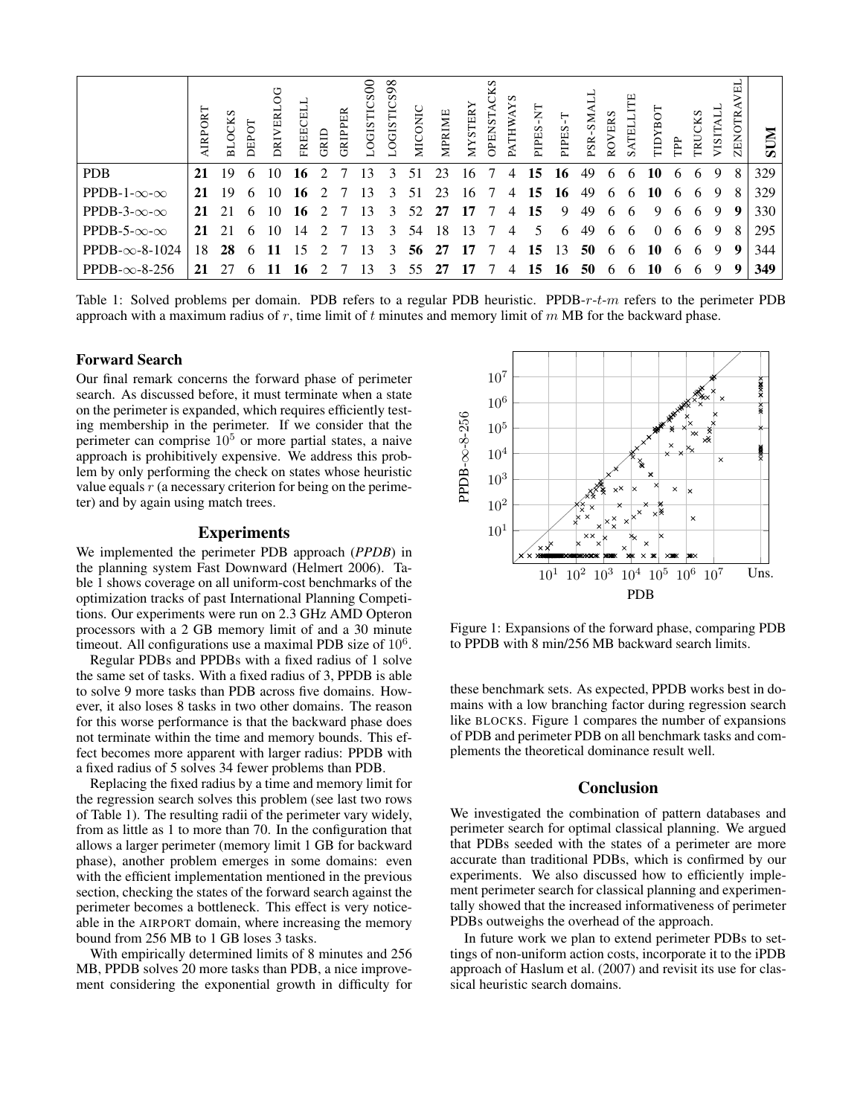|                             | AIRPORT | s<br><b>BLOCK</b> | DEPOT | DRIVERI | EI<br><b>FREE</b> | GRID                        | GRIPPER | 00<br>LOGISTIC | LOGISTICS98 | MICONIC | MPRIME | <b>MYSTER</b> | CKS<br><b>OPENST</b> | S<br>≽<br>PATH' | Ę<br>PIPES- | PIPES-T | PSR-SM | ROVERS | Ë<br>SATELL  | <b>LO SLATL</b> | Ê            | TRUCKS | VISITA | ZENOTR | <b>NUIS</b> |
|-----------------------------|---------|-------------------|-------|---------|-------------------|-----------------------------|---------|----------------|-------------|---------|--------|---------------|----------------------|-----------------|-------------|---------|--------|--------|--------------|-----------------|--------------|--------|--------|--------|-------------|
| <b>PDB</b>                  | 21      | 19                | 6     | 10      | 16                | 2                           |         | 13             | 3           | 51      | 23     | 16            | 7                    | 4               | 15          | 16      | 49     | 6      | 6            | 10              | 6            | 6      | 9      | 8      | 329         |
| PPDB-1- $\infty$ - $\infty$ | 21      | 19                | 6     | 10      | 16                | $\mathcal{D}_{\mathcal{L}}$ |         | 13             | 3           | 51      | 23     | 16            | -7                   | 4               | 15          | 16      | 49     | 6      | $\mathsf{f}$ | 10              | 6            | 6      | 9      | 8      | 329         |
| PPDB-3- $\infty$ - $\infty$ | 21      | 21                | 6     | 10      | 16                | $\mathcal{L}$               |         | 13             | 3           | 52      | 27     | 17            |                      | 4               | 15          | 9       | 49     | 6      | 6            | 9               | 6            | 6      | 9      | -9     | 330         |
| PPDB-5- $\infty$ - $\infty$ | 21      | 21                | 6     | 10      | 14                |                             |         | 13             | 3           | 54      | 18     | 13            |                      | 4               | 5           | 6       | 49     | 6      | 6            | $\Omega$        | <sub>b</sub> | -6     | 9      | 8      | 295         |
| PPDB- $\infty$ -8-1024      | 18      | 28                | 6     | 11      | 15                |                             |         | 13             | 3           | 56      | 27     | 17            | 7                    | 4               | 15          | 13      | 50     | 6      | 6            | 10              | 6            | 6      | 9      | 9      | 344         |
| PPDB- $\infty$ -8-256       | 21      |                   |       |         | 16                |                             |         | 13             | 3           | 55      | 27     | 17            |                      | 4               | 15          | 16      | 50     | 6      | h            | 10              | <sub>6</sub> | 6      | 9      | 9      | 349         |

Table 1: Solved problems per domain. PDB refers to a regular PDB heuristic. PPDB- $r-t-m$  refers to the perimeter PDB approach with a maximum radius of r, time limit of t minutes and memory limit of  $m$  MB for the backward phase.

### Forward Search

Our final remark concerns the forward phase of perimeter search. As discussed before, it must terminate when a state on the perimeter is expanded, which requires efficiently testing membership in the perimeter. If we consider that the perimeter can comprise  $10<sup>5</sup>$  or more partial states, a naive approach is prohibitively expensive. We address this problem by only performing the check on states whose heuristic value equals  $r$  (a necessary criterion for being on the perimeter) and by again using match trees.

## Experiments

We implemented the perimeter PDB approach (*PPDB*) in the planning system Fast Downward (Helmert 2006). Table 1 shows coverage on all uniform-cost benchmarks of the optimization tracks of past International Planning Competitions. Our experiments were run on 2.3 GHz AMD Opteron processors with a 2 GB memory limit of and a 30 minute timeout. All configurations use a maximal PDB size of  $10^6$ .

Regular PDBs and PPDBs with a fixed radius of 1 solve the same set of tasks. With a fixed radius of 3, PPDB is able to solve 9 more tasks than PDB across five domains. However, it also loses 8 tasks in two other domains. The reason for this worse performance is that the backward phase does not terminate within the time and memory bounds. This effect becomes more apparent with larger radius: PPDB with a fixed radius of 5 solves 34 fewer problems than PDB.

Replacing the fixed radius by a time and memory limit for the regression search solves this problem (see last two rows of Table 1). The resulting radii of the perimeter vary widely, from as little as 1 to more than 70. In the configuration that allows a larger perimeter (memory limit 1 GB for backward phase), another problem emerges in some domains: even with the efficient implementation mentioned in the previous section, checking the states of the forward search against the perimeter becomes a bottleneck. This effect is very noticeable in the AIRPORT domain, where increasing the memory bound from 256 MB to 1 GB loses 3 tasks.

With empirically determined limits of 8 minutes and 256 MB, PPDB solves 20 more tasks than PDB, a nice improvement considering the exponential growth in difficulty for



Figure 1: Expansions of the forward phase, comparing PDB to PPDB with 8 min/256 MB backward search limits.

these benchmark sets. As expected, PPDB works best in domains with a low branching factor during regression search like BLOCKS. Figure 1 compares the number of expansions of PDB and perimeter PDB on all benchmark tasks and complements the theoretical dominance result well.

#### Conclusion

We investigated the combination of pattern databases and perimeter search for optimal classical planning. We argued that PDBs seeded with the states of a perimeter are more accurate than traditional PDBs, which is confirmed by our experiments. We also discussed how to efficiently implement perimeter search for classical planning and experimentally showed that the increased informativeness of perimeter PDBs outweighs the overhead of the approach.

In future work we plan to extend perimeter PDBs to settings of non-uniform action costs, incorporate it to the iPDB approach of Haslum et al. (2007) and revisit its use for classical heuristic search domains.